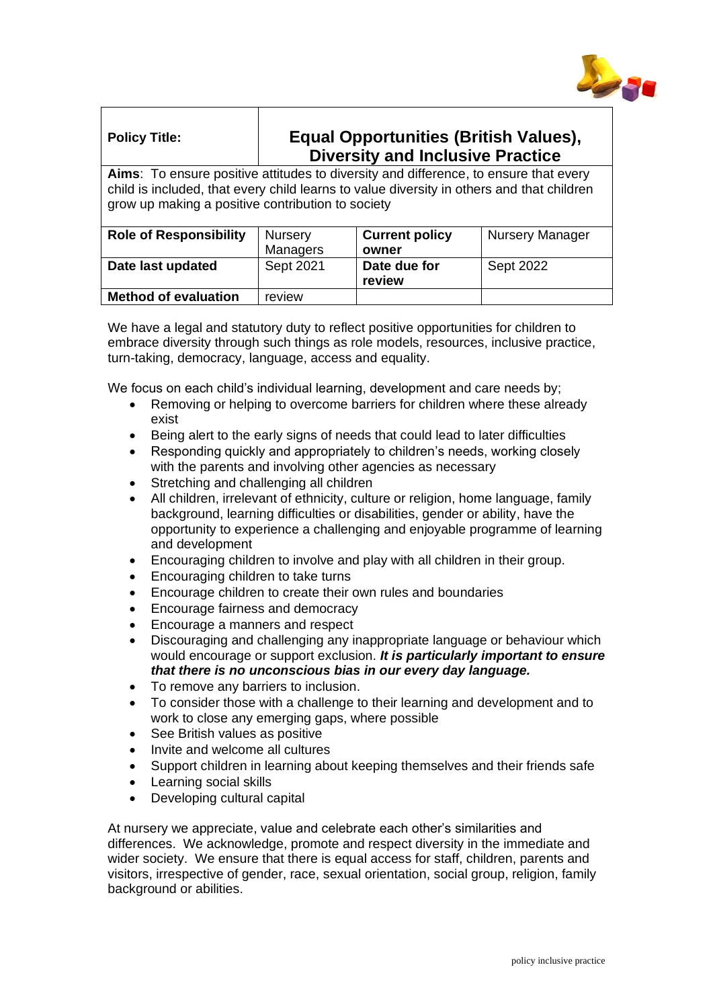

## **Policy Title: Equal Opportunities (British Values), Diversity and Inclusive Practice**

**Aims**: To ensure positive attitudes to diversity and difference, to ensure that every child is included, that every child learns to value diversity in others and that children grow up making a positive contribution to society

| <b>Role of Responsibility</b> | <b>Nursery</b><br>Managers | <b>Current policy</b><br>owner | <b>Nursery Manager</b> |
|-------------------------------|----------------------------|--------------------------------|------------------------|
| Date last updated             | Sept 2021                  | Date due for<br>review         | Sept 2022              |
| <b>Method of evaluation</b>   | review                     |                                |                        |

We have a legal and statutory duty to reflect positive opportunities for children to embrace diversity through such things as role models, resources, inclusive practice, turn-taking, democracy, language, access and equality.

We focus on each child's individual learning, development and care needs by;

- Removing or helping to overcome barriers for children where these already exist
- Being alert to the early signs of needs that could lead to later difficulties
- Responding quickly and appropriately to children's needs, working closely with the parents and involving other agencies as necessary
- Stretching and challenging all children
- All children, irrelevant of ethnicity, culture or religion, home language, family background, learning difficulties or disabilities, gender or ability, have the opportunity to experience a challenging and enjoyable programme of learning and development
- Encouraging children to involve and play with all children in their group.
- Encouraging children to take turns
- Encourage children to create their own rules and boundaries
- Encourage fairness and democracy
- Encourage a manners and respect
- Discouraging and challenging any inappropriate language or behaviour which would encourage or support exclusion. *It is particularly important to ensure that there is no unconscious bias in our every day language.*
- To remove any barriers to inclusion.
- To consider those with a challenge to their learning and development and to work to close any emerging gaps, where possible
- See British values as positive
- Invite and welcome all cultures
- Support children in learning about keeping themselves and their friends safe
- Learning social skills
- Developing cultural capital

At nursery we appreciate, value and celebrate each other's similarities and differences. We acknowledge, promote and respect diversity in the immediate and wider society. We ensure that there is equal access for staff, children, parents and visitors, irrespective of gender, race, sexual orientation, social group, religion, family background or abilities.